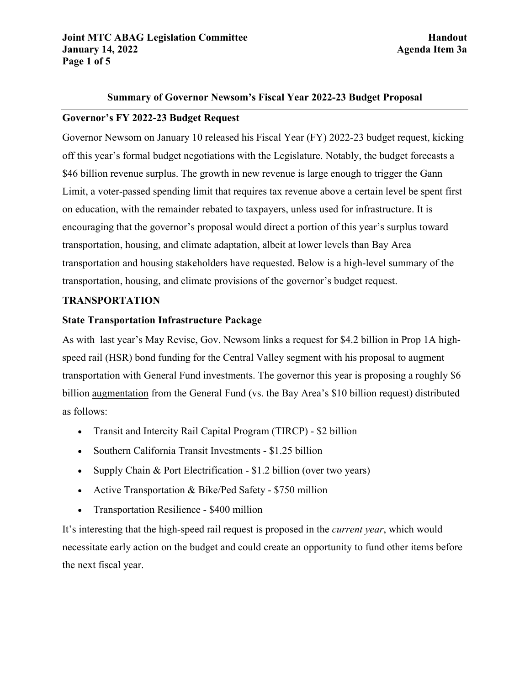#### **Summary of Governor Newsom's Fiscal Year 2022-23 Budget Proposal**

## **Governor's FY 2022-23 Budget Request**

Governor Newsom on January 10 released his Fiscal Year (FY) 2022-23 budget request, kicking off this year's formal budget negotiations with the Legislature. Notably, the budget forecasts a \$46 billion revenue surplus. The growth in new revenue is large enough to trigger the Gann Limit, a voter-passed spending limit that requires tax revenue above a certain level be spent first on education, with the remainder rebated to taxpayers, unless used for infrastructure. It is encouraging that the governor's proposal would direct a portion of this year's surplus toward transportation, housing, and climate adaptation, albeit at lower levels than Bay Area transportation and housing stakeholders have requested. Below is a high-level summary of the transportation, housing, and climate provisions of the governor's budget request.

## **TRANSPORTATION**

#### **State Transportation Infrastructure Package**

As with last year's May Revise, Gov. Newsom links a request for \$4.2 billion in Prop 1A highspeed rail (HSR) bond funding for the Central Valley segment with his proposal to augment transportation with General Fund investments. The governor this year is proposing a roughly \$6 billion augmentation from the General Fund (vs. the Bay Area's \$10 billion request) distributed as follows:

- Transit and Intercity Rail Capital Program (TIRCP) \$2 billion
- Southern California Transit Investments \$1.25 billion
- Supply Chain & Port Electrification \$1.2 billion (over two years)
- Active Transportation & Bike/Ped Safety \$750 million
- Transportation Resilience \$400 million

It's interesting that the high-speed rail request is proposed in the *current year*, which would necessitate early action on the budget and could create an opportunity to fund other items before the next fiscal year.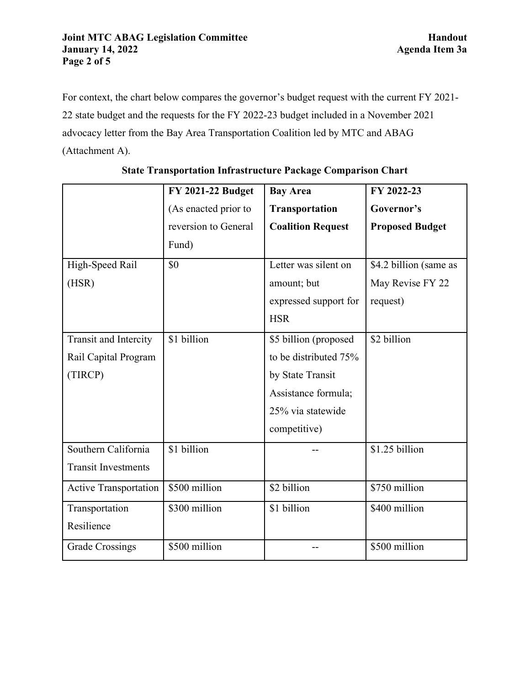For context, the chart below compares the governor's budget request with the current FY 2021- 22 state budget and the requests for the FY 2022-23 budget included in a November 2021 advocacy letter from the Bay Area Transportation Coalition led by MTC and ABAG (Attachment A).

|                              | <b>FY 2021-22 Budget</b> | <b>Bay Area</b>          | FY 2022-23             |
|------------------------------|--------------------------|--------------------------|------------------------|
|                              | (As enacted prior to     | Transportation           | Governor's             |
|                              | reversion to General     | <b>Coalition Request</b> | <b>Proposed Budget</b> |
|                              | Fund)                    |                          |                        |
| High-Speed Rail              | \$0                      | Letter was silent on     | \$4.2 billion (same as |
| (HSR)                        |                          | amount; but              | May Revise FY 22       |
|                              |                          | expressed support for    | request)               |
|                              |                          | <b>HSR</b>               |                        |
| Transit and Intercity        | \$1 billion              | \$5 billion (proposed    | \$2 billion            |
| Rail Capital Program         |                          | to be distributed 75%    |                        |
| (TIRCP)                      |                          | by State Transit         |                        |
|                              |                          | Assistance formula;      |                        |
|                              |                          | 25% via statewide        |                        |
|                              |                          | competitive)             |                        |
| Southern California          | \$1 billion              |                          | \$1.25 billion         |
| <b>Transit Investments</b>   |                          |                          |                        |
| <b>Active Transportation</b> | \$500 million            | \$2 billion              | \$750 million          |
| Transportation               | \$300 million            | \$1 billion              | \$400 million          |
| Resilience                   |                          |                          |                        |
| Grade Crossings              | \$500 million            |                          | \$500 million          |

|  | <b>State Transportation Infrastructure Package Comparison Chart</b> |  |
|--|---------------------------------------------------------------------|--|
|--|---------------------------------------------------------------------|--|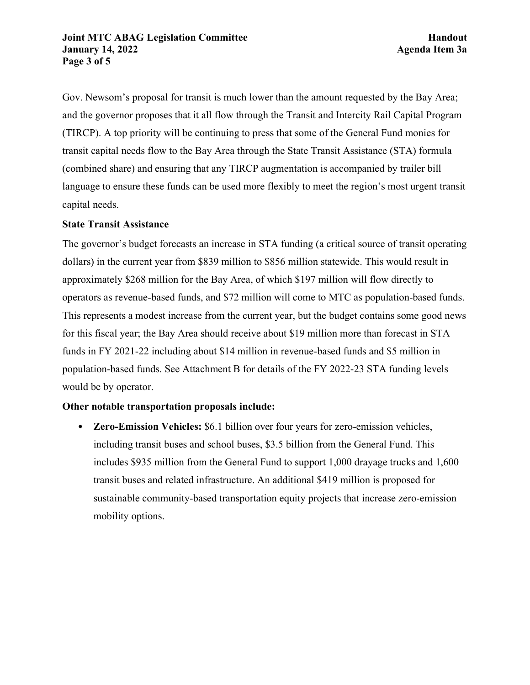#### **Joint MTC ABAG Legislation Committee <b>Handout Handout January 14, 2022 Agenda Item 3a Page 3 of 5**

Gov. Newsom's proposal for transit is much lower than the amount requested by the Bay Area; and the governor proposes that it all flow through the Transit and Intercity Rail Capital Program (TIRCP). A top priority will be continuing to press that some of the General Fund monies for transit capital needs flow to the Bay Area through the State Transit Assistance (STA) formula (combined share) and ensuring that any TIRCP augmentation is accompanied by trailer bill language to ensure these funds can be used more flexibly to meet the region's most urgent transit capital needs.

## **State Transit Assistance**

The governor's budget forecasts an increase in STA funding (a critical source of transit operating dollars) in the current year from \$839 million to \$856 million statewide. This would result in approximately \$268 million for the Bay Area, of which \$197 million will flow directly to operators as revenue-based funds, and \$72 million will come to MTC as population-based funds. This represents a modest increase from the current year, but the budget contains some good news for this fiscal year; the Bay Area should receive about \$19 million more than forecast in STA funds in FY 2021-22 including about \$14 million in revenue-based funds and \$5 million in population-based funds. See Attachment B for details of the FY 2022-23 STA funding levels would be by operator.

# **Other notable transportation proposals include:**

• **Zero-Emission Vehicles:** \$6.1 billion over four years for zero-emission vehicles, including transit buses and school buses, \$3.5 billion from the General Fund. This includes \$935 million from the General Fund to support 1,000 drayage trucks and 1,600 transit buses and related infrastructure. An additional \$419 million is proposed for sustainable community-based transportation equity projects that increase zero-emission mobility options.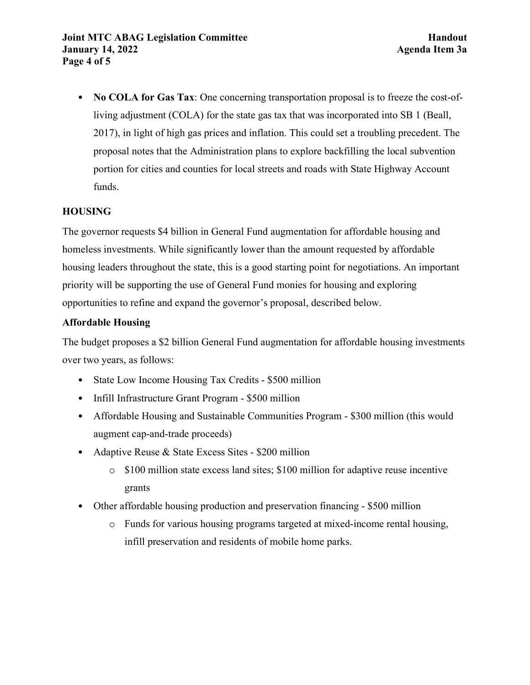• **No COLA for Gas Tax**: One concerning transportation proposal is to freeze the cost-ofliving adjustment (COLA) for the state gas tax that was incorporated into SB 1 (Beall, 2017), in light of high gas prices and inflation. This could set a troubling precedent. The proposal notes that the Administration plans to explore backfilling the local subvention portion for cities and counties for local streets and roads with State Highway Account funds.

# **HOUSING**

The governor requests \$4 billion in General Fund augmentation for affordable housing and homeless investments. While significantly lower than the amount requested by affordable housing leaders throughout the state, this is a good starting point for negotiations. An important priority will be supporting the use of General Fund monies for housing and exploring opportunities to refine and expand the governor's proposal, described below.

# **Affordable Housing**

The budget proposes a \$2 billion General Fund augmentation for affordable housing investments over two years, as follows:

- State Low Income Housing Tax Credits \$500 million
- Infill Infrastructure Grant Program \$500 million
- Affordable Housing and Sustainable Communities Program \$300 million (this would augment cap-and-trade proceeds)
- Adaptive Reuse & State Excess Sites \$200 million
	- $\circ$  \$100 million state excess land sites; \$100 million for adaptive reuse incentive grants
- Other affordable housing production and preservation financing \$500 million
	- o Funds for various housing programs targeted at mixed-income rental housing, infill preservation and residents of mobile home parks.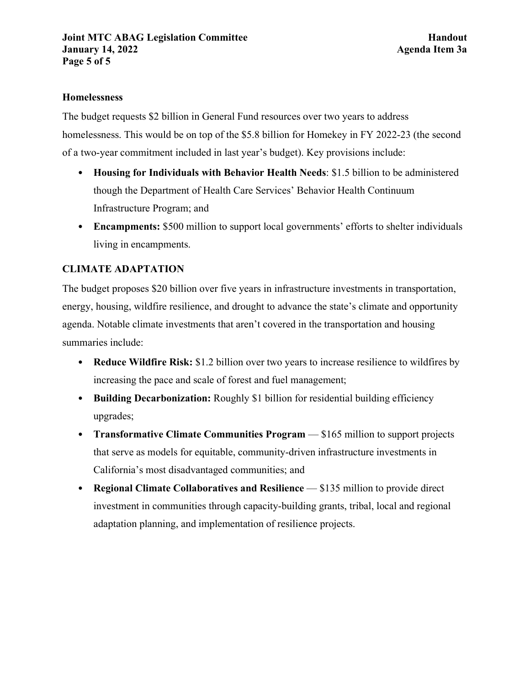## **Homelessness**

The budget requests \$2 billion in General Fund resources over two years to address homelessness. This would be on top of the \$5.8 billion for Homekey in FY 2022-23 (the second of a two-year commitment included in last year's budget). Key provisions include:

- **Housing for Individuals with Behavior Health Needs**: \$1.5 billion to be administered though the Department of Health Care Services' Behavior Health Continuum Infrastructure Program; and
- **Encampments:** \$500 million to support local governments' efforts to shelter individuals living in encampments.

# **CLIMATE ADAPTATION**

The budget proposes \$20 billion over five years in infrastructure investments in transportation, energy, housing, wildfire resilience, and drought to advance the state's climate and opportunity agenda. Notable climate investments that aren't covered in the transportation and housing summaries include:

- **Reduce Wildfire Risk:** \$1.2 billion over two years to increase resilience to wildfires by increasing the pace and scale of forest and fuel management;
- **Building Decarbonization:** Roughly \$1 billion for residential building efficiency upgrades;
- **Transformative Climate Communities Program** \$165 million to support projects that serve as models for equitable, community-driven infrastructure investments in California's most disadvantaged communities; and
- **Regional Climate Collaboratives and Resilience** \$135 million to provide direct investment in communities through capacity-building grants, tribal, local and regional adaptation planning, and implementation of resilience projects.